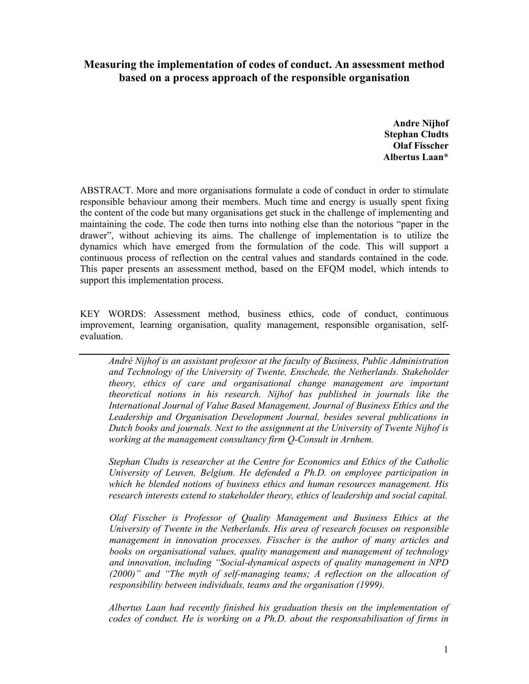# **Measuring the implementation of codes of conduct. An assessment method based on a process approach of the responsible organisation**

**Andre Nijhof Stephan Cludts Olaf Fisscher Albertus Laan\*** 

ABSTRACT. More and more organisations formulate a code of conduct in order to stimulate responsible behaviour among their members. Much time and energy is usually spent fixing the content of the code but many organisations get stuck in the challenge of implementing and maintaining the code. The code then turns into nothing else than the notorious "paper in the drawer", without achieving its aims. The challenge of implementation is to utilize the dynamics which have emerged from the formulation of the code. This will support a continuous process of reflection on the central values and standards contained in the code. This paper presents an assessment method, based on the EFQM model, which intends to support this implementation process.

KEY WORDS: Assessment method, business ethics, code of conduct, continuous improvement, learning organisation, quality management, responsible organisation, selfevaluation.

*André Nijhof is an assistant professor at the faculty of Business, Public Administration and Technology of the University of Twente, Enschede, the Netherlands. Stakeholder theory, ethics of care and organisational change management are important theoretical notions in his research. Nijhof has published in journals like the International Journal of Value Based Management, Journal of Business Ethics and the Leadership and Organisation Development Journal, besides several publications in Dutch books and journals. Next to the assignment at the University of Twente Nijhof is working at the management consultancy firm Q-Consult in Arnhem.* 

*Stephan Cludts is researcher at the Centre for Economics and Ethics of the Catholic University of Leuven, Belgium. He defended a Ph.D. on employee participation in which he blended notions of business ethics and human resources management. His research interests extend to stakeholder theory, ethics of leadership and social capital.* 

*Olaf Fisscher is Professor of Quality Management and Business Ethics at the University of Twente in the Netherlands. His area of research focuses on responsible management in innovation processes. Fisscher is the author of many articles and books on organisational values, quality management and management of technology and innovation, including "Social-dynamical aspects of quality management in NPD (2000)" and "The myth of self-managing teams; A reflection on the allocation of responsibility between individuals, teams and the organisation (1999).* 

*Albertus Laan had recently finished his graduation thesis on the implementation of codes of conduct. He is working on a Ph.D. about the responsabilisation of firms in*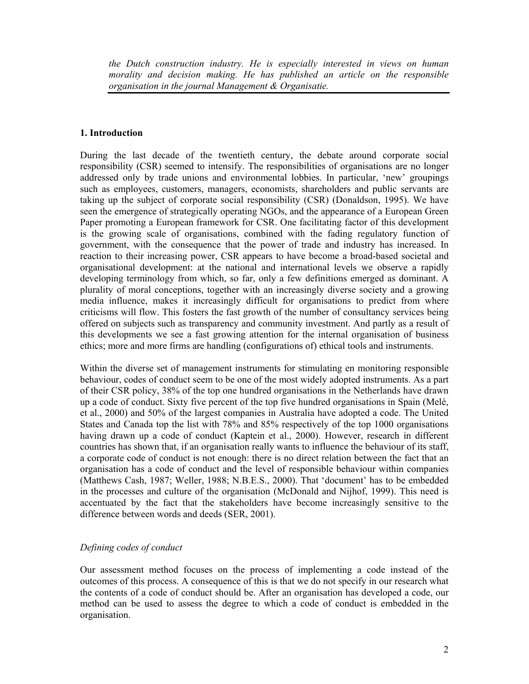*the Dutch construction industry. He is especially interested in views on human morality and decision making. He has published an article on the responsible organisation in the journal Management & Organisatie.* 

# **1. Introduction**

During the last decade of the twentieth century, the debate around corporate social responsibility (CSR) seemed to intensify. The responsibilities of organisations are no longer addressed only by trade unions and environmental lobbies. In particular, 'new' groupings such as employees, customers, managers, economists, shareholders and public servants are taking up the subject of corporate social responsibility (CSR) (Donaldson, 1995). We have seen the emergence of strategically operating NGOs, and the appearance of a European Green Paper promoting a European framework for CSR. One facilitating factor of this development is the growing scale of organisations, combined with the fading regulatory function of government, with the consequence that the power of trade and industry has increased. In reaction to their increasing power, CSR appears to have become a broad-based societal and organisational development: at the national and international levels we observe a rapidly developing terminology from which, so far, only a few definitions emerged as dominant. A plurality of moral conceptions, together with an increasingly diverse society and a growing media influence, makes it increasingly difficult for organisations to predict from where criticisms will flow. This fosters the fast growth of the number of consultancy services being offered on subjects such as transparency and community investment. And partly as a result of this developments we see a fast growing attention for the internal organisation of business ethics; more and more firms are handling (configurations of) ethical tools and instruments.

Within the diverse set of management instruments for stimulating en monitoring responsible behaviour, codes of conduct seem to be one of the most widely adopted instruments. As a part of their CSR policy, 38% of the top one hundred organisations in the Netherlands have drawn up a code of conduct. Sixty five percent of the top five hundred organisations in Spain (Melé, et al., 2000) and 50% of the largest companies in Australia have adopted a code. The United States and Canada top the list with 78% and 85% respectively of the top 1000 organisations having drawn up a code of conduct (Kaptein et al., 2000). However, research in different countries has shown that, if an organisation really wants to influence the behaviour of its staff, a corporate code of conduct is not enough: there is no direct relation between the fact that an organisation has a code of conduct and the level of responsible behaviour within companies (Matthews Cash, 1987; Weller, 1988; N.B.E.S., 2000). That 'document' has to be embedded in the processes and culture of the organisation (McDonald and Nijhof, 1999). This need is accentuated by the fact that the stakeholders have become increasingly sensitive to the difference between words and deeds (SER, 2001).

# *Defining codes of conduct*

Our assessment method focuses on the process of implementing a code instead of the outcomes of this process. A consequence of this is that we do not specify in our research what the contents of a code of conduct should be. After an organisation has developed a code, our method can be used to assess the degree to which a code of conduct is embedded in the organisation.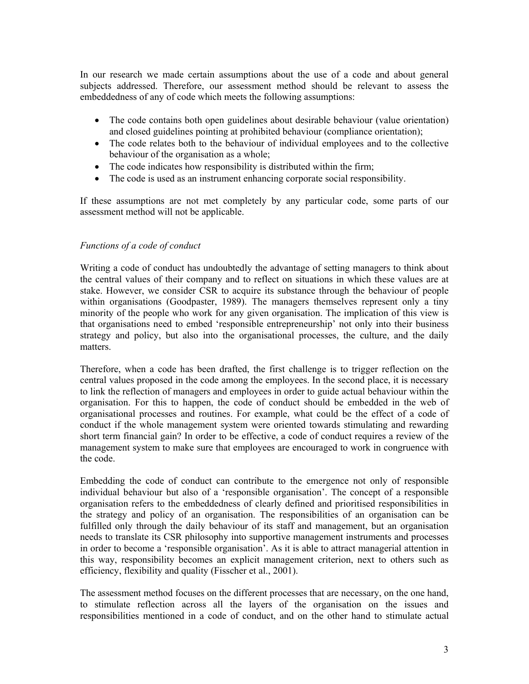In our research we made certain assumptions about the use of a code and about general subjects addressed. Therefore, our assessment method should be relevant to assess the embeddedness of any of code which meets the following assumptions:

- The code contains both open guidelines about desirable behaviour (value orientation) and closed guidelines pointing at prohibited behaviour (compliance orientation);
- The code relates both to the behaviour of individual employees and to the collective behaviour of the organisation as a whole;
- The code indicates how responsibility is distributed within the firm;
- The code is used as an instrument enhancing corporate social responsibility.

If these assumptions are not met completely by any particular code, some parts of our assessment method will not be applicable.

#### *Functions of a code of conduct*

Writing a code of conduct has undoubtedly the advantage of setting managers to think about the central values of their company and to reflect on situations in which these values are at stake. However, we consider CSR to acquire its substance through the behaviour of people within organisations (Goodpaster, 1989). The managers themselves represent only a tiny minority of the people who work for any given organisation. The implication of this view is that organisations need to embed 'responsible entrepreneurship' not only into their business strategy and policy, but also into the organisational processes, the culture, and the daily matters.

Therefore, when a code has been drafted, the first challenge is to trigger reflection on the central values proposed in the code among the employees. In the second place, it is necessary to link the reflection of managers and employees in order to guide actual behaviour within the organisation. For this to happen, the code of conduct should be embedded in the web of organisational processes and routines. For example, what could be the effect of a code of conduct if the whole management system were oriented towards stimulating and rewarding short term financial gain? In order to be effective, a code of conduct requires a review of the management system to make sure that employees are encouraged to work in congruence with the code.

Embedding the code of conduct can contribute to the emergence not only of responsible individual behaviour but also of a 'responsible organisation'. The concept of a responsible organisation refers to the embeddedness of clearly defined and prioritised responsibilities in the strategy and policy of an organisation. The responsibilities of an organisation can be fulfilled only through the daily behaviour of its staff and management, but an organisation needs to translate its CSR philosophy into supportive management instruments and processes in order to become a 'responsible organisation'. As it is able to attract managerial attention in this way, responsibility becomes an explicit management criterion, next to others such as efficiency, flexibility and quality (Fisscher et al., 2001).

The assessment method focuses on the different processes that are necessary, on the one hand, to stimulate reflection across all the layers of the organisation on the issues and responsibilities mentioned in a code of conduct, and on the other hand to stimulate actual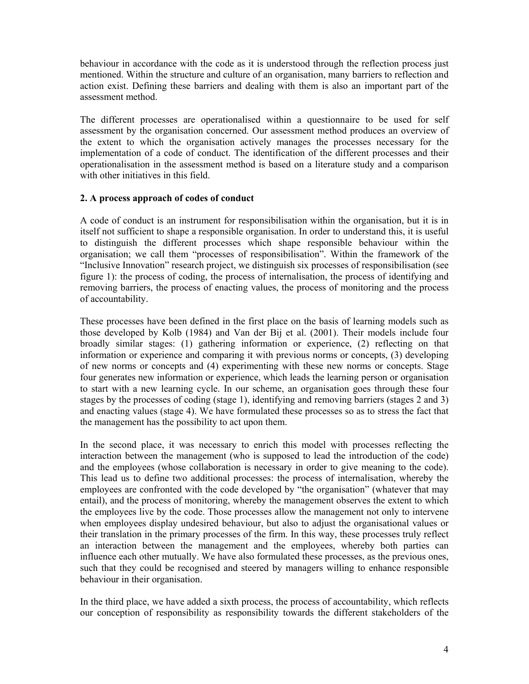behaviour in accordance with the code as it is understood through the reflection process just mentioned. Within the structure and culture of an organisation, many barriers to reflection and action exist. Defining these barriers and dealing with them is also an important part of the assessment method.

The different processes are operationalised within a questionnaire to be used for self assessment by the organisation concerned. Our assessment method produces an overview of the extent to which the organisation actively manages the processes necessary for the implementation of a code of conduct. The identification of the different processes and their operationalisation in the assessment method is based on a literature study and a comparison with other initiatives in this field.

### **2. A process approach of codes of conduct**

A code of conduct is an instrument for responsibilisation within the organisation, but it is in itself not sufficient to shape a responsible organisation. In order to understand this, it is useful to distinguish the different processes which shape responsible behaviour within the organisation; we call them "processes of responsibilisation". Within the framework of the "Inclusive Innovation" research project, we distinguish six processes of responsibilisation (see figure 1): the process of coding, the process of internalisation, the process of identifying and removing barriers, the process of enacting values, the process of monitoring and the process of accountability.

These processes have been defined in the first place on the basis of learning models such as those developed by Kolb (1984) and Van der Bij et al. (2001). Their models include four broadly similar stages: (1) gathering information or experience, (2) reflecting on that information or experience and comparing it with previous norms or concepts, (3) developing of new norms or concepts and (4) experimenting with these new norms or concepts. Stage four generates new information or experience, which leads the learning person or organisation to start with a new learning cycle. In our scheme, an organisation goes through these four stages by the processes of coding (stage 1), identifying and removing barriers (stages 2 and 3) and enacting values (stage 4). We have formulated these processes so as to stress the fact that the management has the possibility to act upon them.

In the second place, it was necessary to enrich this model with processes reflecting the interaction between the management (who is supposed to lead the introduction of the code) and the employees (whose collaboration is necessary in order to give meaning to the code). This lead us to define two additional processes: the process of internalisation, whereby the employees are confronted with the code developed by "the organisation" (whatever that may entail), and the process of monitoring, whereby the management observes the extent to which the employees live by the code. Those processes allow the management not only to intervene when employees display undesired behaviour, but also to adjust the organisational values or their translation in the primary processes of the firm. In this way, these processes truly reflect an interaction between the management and the employees, whereby both parties can influence each other mutually. We have also formulated these processes, as the previous ones, such that they could be recognised and steered by managers willing to enhance responsible behaviour in their organisation.

In the third place, we have added a sixth process, the process of accountability, which reflects our conception of responsibility as responsibility towards the different stakeholders of the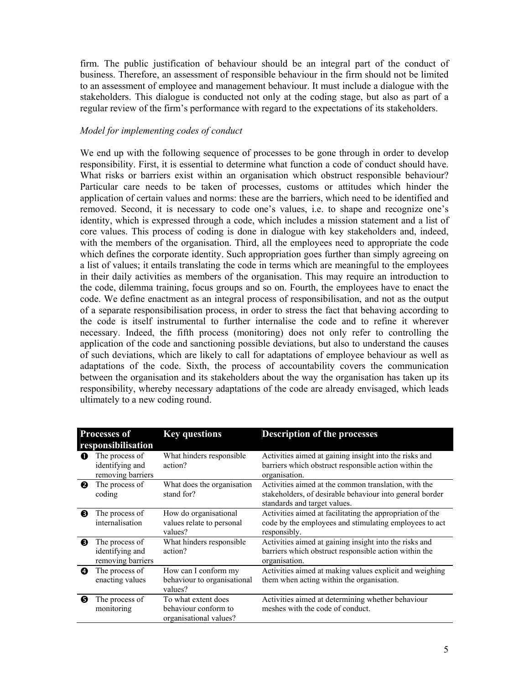firm. The public justification of behaviour should be an integral part of the conduct of business. Therefore, an assessment of responsible behaviour in the firm should not be limited to an assessment of employee and management behaviour. It must include a dialogue with the stakeholders. This dialogue is conducted not only at the coding stage, but also as part of a regular review of the firm's performance with regard to the expectations of its stakeholders.

### *Model for implementing codes of conduct*

We end up with the following sequence of processes to be gone through in order to develop responsibility. First, it is essential to determine what function a code of conduct should have. What risks or barriers exist within an organisation which obstruct responsible behaviour? Particular care needs to be taken of processes, customs or attitudes which hinder the application of certain values and norms: these are the barriers, which need to be identified and removed. Second, it is necessary to code one's values, i.e. to shape and recognize one's identity, which is expressed through a code, which includes a mission statement and a list of core values. This process of coding is done in dialogue with key stakeholders and, indeed, with the members of the organisation. Third, all the employees need to appropriate the code which defines the corporate identity. Such appropriation goes further than simply agreeing on a list of values; it entails translating the code in terms which are meaningful to the employees in their daily activities as members of the organisation. This may require an introduction to the code, dilemma training, focus groups and so on. Fourth, the employees have to enact the code. We define enactment as an integral process of responsibilisation, and not as the output of a separate responsibilisation process, in order to stress the fact that behaving according to the code is itself instrumental to further internalise the code and to refine it wherever necessary. Indeed, the fifth process (monitoring) does not only refer to controlling the application of the code and sanctioning possible deviations, but also to understand the causes of such deviations, which are likely to call for adaptations of employee behaviour as well as adaptations of the code. Sixth, the process of accountability covers the communication between the organisation and its stakeholders about the way the organisation has taken up its responsibility, whereby necessary adaptations of the code are already envisaged, which leads ultimately to a new coding round.

| <b>Processes of</b><br>responsibilisation |                                                        | <b>Key questions</b>                                                  | <b>Description of the processes</b>                                                                                                              |
|-------------------------------------------|--------------------------------------------------------|-----------------------------------------------------------------------|--------------------------------------------------------------------------------------------------------------------------------------------------|
| O                                         | The process of<br>identifying and<br>removing barriers | What hinders responsible<br>action?                                   | Activities aimed at gaining insight into the risks and<br>barriers which obstruct responsible action within the<br>organisation.                 |
| ❷                                         | The process of<br>coding                               | What does the organisation<br>stand for?                              | Activities aimed at the common translation, with the<br>stakeholders, of desirable behaviour into general border<br>standards and target values. |
| ❸                                         | The process of<br>internalisation                      | How do organisational<br>values relate to personal<br>values?         | Activities aimed at facilitating the appropriation of the<br>code by the employees and stimulating employees to act<br>responsibly.              |
| ❸                                         | The process of<br>identifying and<br>removing barriers | What hinders responsible.<br>action?                                  | Activities aimed at gaining insight into the risks and<br>barriers which obstruct responsible action within the<br>organisation.                 |
| ❹                                         | The process of<br>enacting values                      | How can I conform my<br>behaviour to organisational<br>values?        | Activities aimed at making values explicit and weighing<br>them when acting within the organisation.                                             |
| ❺                                         | The process of<br>monitoring                           | To what extent does<br>behaviour conform to<br>organisational values? | Activities aimed at determining whether behaviour<br>meshes with the code of conduct.                                                            |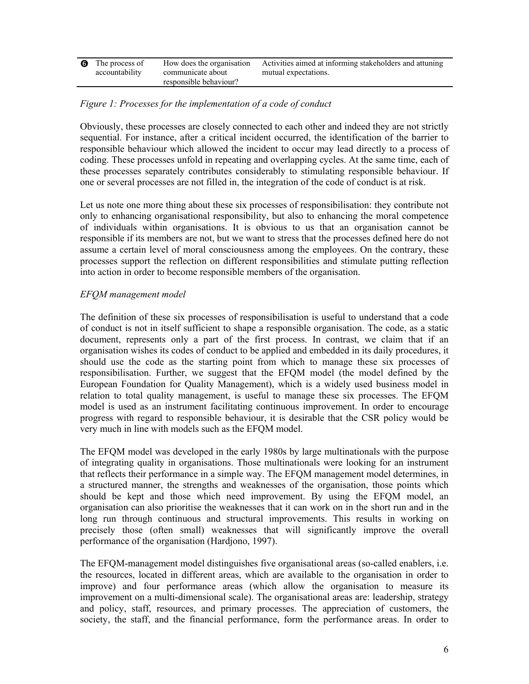| <b>6</b> The process of | How does the organisation | Activities aimed at informing stakeholders and attuning |
|-------------------------|---------------------------|---------------------------------------------------------|
| accountability          | communicate about         | mutual expectations.                                    |
|                         | responsible behaviour?    |                                                         |

### *Figure 1: Processes for the implementation of a code of conduct*

Obviously, these processes are closely connected to each other and indeed they are not strictly sequential. For instance, after a critical incident occurred, the identification of the barrier to responsible behaviour which allowed the incident to occur may lead directly to a process of coding. These processes unfold in repeating and overlapping cycles. At the same time, each of these processes separately contributes considerably to stimulating responsible behaviour. If one or several processes are not filled in, the integration of the code of conduct is at risk.

Let us note one more thing about these six processes of responsibilisation: they contribute not only to enhancing organisational responsibility, but also to enhancing the moral competence of individuals within organisations. It is obvious to us that an organisation cannot be responsible if its members are not, but we want to stress that the processes defined here do not assume a certain level of moral consciousness among the employees. On the contrary, these processes support the reflection on different responsibilities and stimulate putting reflection into action in order to become responsible members of the organisation.

# *EFQM management model*

The definition of these six processes of responsibilisation is useful to understand that a code of conduct is not in itself sufficient to shape a responsible organisation. The code, as a static document, represents only a part of the first process. In contrast, we claim that if an organisation wishes its codes of conduct to be applied and embedded in its daily procedures, it should use the code as the starting point from which to manage these six processes of responsibilisation. Further, we suggest that the EFQM model (the model defined by the European Foundation for Quality Management), which is a widely used business model in relation to total quality management, is useful to manage these six processes. The EFQM model is used as an instrument facilitating continuous improvement. In order to encourage progress with regard to responsible behaviour, it is desirable that the CSR policy would be very much in line with models such as the EFQM model.

The EFQM model was developed in the early 1980s by large multinationals with the purpose of integrating quality in organisations. Those multinationals were looking for an instrument that reflects their performance in a simple way. The EFQM management model determines, in a structured manner, the strengths and weaknesses of the organisation, those points which should be kept and those which need improvement. By using the EFQM model, an organisation can also prioritise the weaknesses that it can work on in the short run and in the long run through continuous and structural improvements. This results in working on precisely those (often small) weaknesses that will significantly improve the overall performance of the organisation (Hardjono, 1997).

The EFQM-management model distinguishes five organisational areas (so-called enablers, i.e. the resources, located in different areas, which are available to the organisation in order to improve) and four performance areas (which allow the organisation to measure its improvement on a multi-dimensional scale). The organisational areas are: leadership, strategy and policy, staff, resources, and primary processes. The appreciation of customers, the society, the staff, and the financial performance, form the performance areas. In order to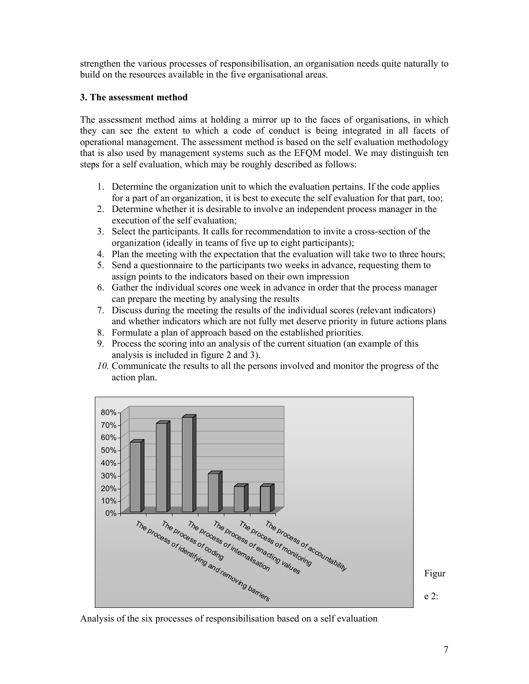strengthen the various processes of responsibilisation, an organisation needs quite naturally to build on the resources available in the five organisational areas.

# **3. The assessment method**

The assessment method aims at holding a mirror up to the faces of organisations, in which they can see the extent to which a code of conduct is being integrated in all facets of operational management. The assessment method is based on the self evaluation methodology that is also used by management systems such as the EFQM model. We may distinguish ten steps for a self evaluation, which may be roughly described as follows:

- 1. Determine the organization unit to which the evaluation pertains. If the code applies for a part of an organization, it is best to execute the self evaluation for that part, too;
- 2. Determine whether it is desirable to involve an independent process manager in the execution of the self evaluation;
- 3. Select the participants. It calls for recommendation to invite a cross-section of the organization (ideally in teams of five up to eight participants);
- 4. Plan the meeting with the expectation that the evaluation will take two to three hours;
- 5. Send a questionnaire to the participants two weeks in advance, requesting them to assign points to the indicators based on their own impression
- 6. Gather the individual scores one week in advance in order that the process manager can prepare the meeting by analysing the results
- 7. Discuss during the meeting the results of the individual scores (relevant indicators) and whether indicators which are not fully met deserve priority in future actions plans
- 8. Formulate a plan of approach based on the established priorities.
- 9. Process the scoring into an analysis of the current situation (an example of this analysis is included in figure 2 and 3).
- *10.* Communicate the results to all the persons involved and monitor the progress of the action plan.



Analysis of the six processes of responsibilisation based on a self evaluation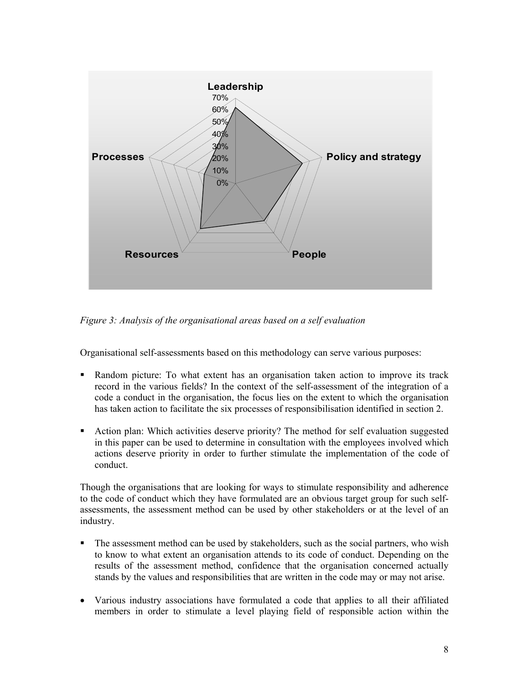

*Figure 3: Analysis of the organisational areas based on a self evaluation* 

Organisational self-assessments based on this methodology can serve various purposes:

- Random picture: To what extent has an organisation taken action to improve its track record in the various fields? In the context of the self-assessment of the integration of a code a conduct in the organisation, the focus lies on the extent to which the organisation has taken action to facilitate the six processes of responsibilisation identified in section 2.
- Action plan: Which activities deserve priority? The method for self evaluation suggested in this paper can be used to determine in consultation with the employees involved which actions deserve priority in order to further stimulate the implementation of the code of conduct.

Though the organisations that are looking for ways to stimulate responsibility and adherence to the code of conduct which they have formulated are an obvious target group for such selfassessments, the assessment method can be used by other stakeholders or at the level of an industry.

- The assessment method can be used by stakeholders, such as the social partners, who wish to know to what extent an organisation attends to its code of conduct. Depending on the results of the assessment method, confidence that the organisation concerned actually stands by the values and responsibilities that are written in the code may or may not arise.
- Various industry associations have formulated a code that applies to all their affiliated members in order to stimulate a level playing field of responsible action within the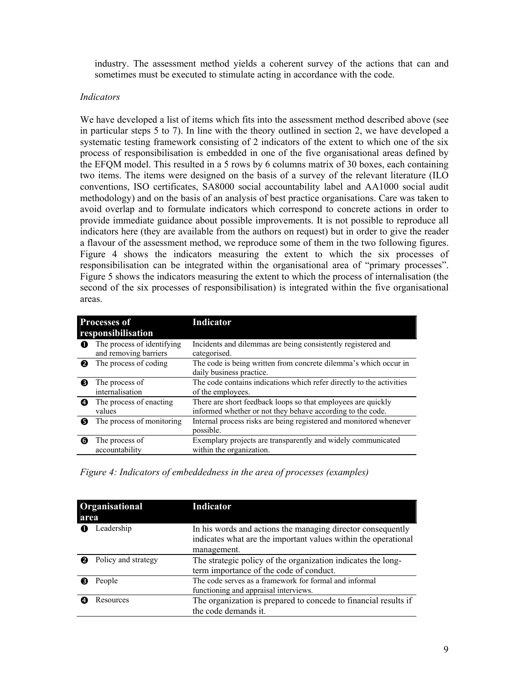industry. The assessment method yields a coherent survey of the actions that can and sometimes must be executed to stimulate acting in accordance with the code.

#### *Indicators*

We have developed a list of items which fits into the assessment method described above (see in particular steps 5 to 7). In line with the theory outlined in section 2, we have developed a systematic testing framework consisting of 2 indicators of the extent to which one of the six process of responsibilisation is embedded in one of the five organisational areas defined by the EFQM model. This resulted in a 5 rows by 6 columns matrix of 30 boxes, each containing two items. The items were designed on the basis of a survey of the relevant literature (ILO conventions, ISO certificates, SA8000 social accountability label and AA1000 social audit methodology) and on the basis of an analysis of best practice organisations. Care was taken to avoid overlap and to formulate indicators which correspond to concrete actions in order to provide immediate guidance about possible improvements. It is not possible to reproduce all indicators here (they are available from the authors on request) but in order to give the reader a flavour of the assessment method, we reproduce some of them in the two following figures. Figure 4 shows the indicators measuring the extent to which the six processes of responsibilisation can be integrated within the organisational area of "primary processes". Figure 5 shows the indicators measuring the extent to which the process of internalisation (the second of the six processes of responsibilisation) is integrated within the five organisational areas.

| <b>Processes of</b><br>responsibilisation |                                                     | <b>Indicator</b>                                                                                                           |
|-------------------------------------------|-----------------------------------------------------|----------------------------------------------------------------------------------------------------------------------------|
|                                           | The process of identifying<br>and removing barriers | Incidents and dilemmas are being consistently registered and<br>categorised.                                               |
| ค                                         | The process of coding                               | The code is being written from concrete dilemma's which occur in<br>daily business practice.                               |
| €                                         | The process of<br>internalisation                   | The code contains indications which refer directly to the activities<br>of the employees.                                  |
| A                                         | The process of enacting<br>values                   | There are short feedback loops so that employees are quickly<br>informed whether or not they behave according to the code. |
| G                                         | The process of monitoring                           | Internal process risks are being registered and monitored whenever<br>possible.                                            |
| G                                         | The process of<br>accountability                    | Exemplary projects are transparently and widely communicated<br>within the organization.                                   |

*Figure 4: Indicators of embeddedness in the area of processes (examples)* 

| <b>Organisational</b> |                     | Indicator                                                                                                                                    |  |
|-----------------------|---------------------|----------------------------------------------------------------------------------------------------------------------------------------------|--|
| area                  |                     |                                                                                                                                              |  |
|                       | Leadership          | In his words and actions the managing director consequently<br>indicates what are the important values within the operational<br>management. |  |
|                       | Policy and strategy | The strategic policy of the organization indicates the long-<br>term importance of the code of conduct.                                      |  |
|                       | People              | The code serves as a framework for formal and informal<br>functioning and appraisal interviews.                                              |  |
|                       | Resources           | The organization is prepared to concede to financial results if<br>the code demands it.                                                      |  |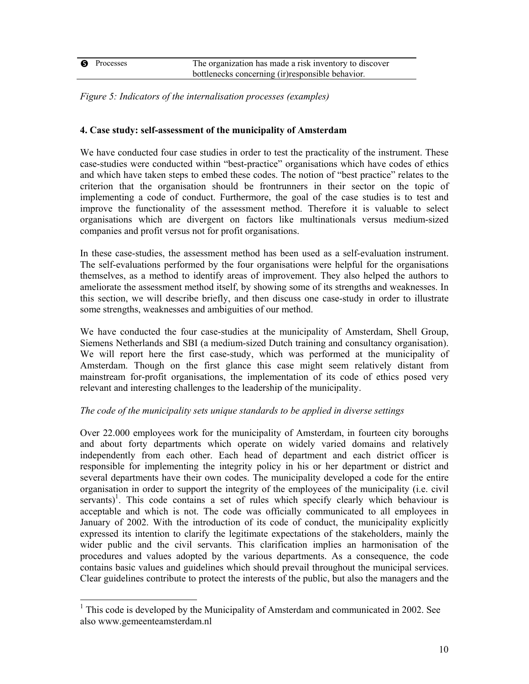| <b>O</b> Processes | The organization has made a risk inventory to discover |  |
|--------------------|--------------------------------------------------------|--|
|                    | bottlenecks concerning (ir) responsible behavior.      |  |

*Figure 5: Indicators of the internalisation processes (examples)* 

### **4. Case study: self-assessment of the municipality of Amsterdam**

We have conducted four case studies in order to test the practicality of the instrument. These case-studies were conducted within "best-practice" organisations which have codes of ethics and which have taken steps to embed these codes. The notion of "best practice" relates to the criterion that the organisation should be frontrunners in their sector on the topic of implementing a code of conduct. Furthermore, the goal of the case studies is to test and improve the functionality of the assessment method. Therefore it is valuable to select organisations which are divergent on factors like multinationals versus medium-sized companies and profit versus not for profit organisations.

In these case-studies, the assessment method has been used as a self-evaluation instrument. The self-evaluations performed by the four organisations were helpful for the organisations themselves, as a method to identify areas of improvement. They also helped the authors to ameliorate the assessment method itself, by showing some of its strengths and weaknesses. In this section, we will describe briefly, and then discuss one case-study in order to illustrate some strengths, weaknesses and ambiguities of our method.

We have conducted the four case-studies at the municipality of Amsterdam, Shell Group, Siemens Netherlands and SBI (a medium-sized Dutch training and consultancy organisation). We will report here the first case-study, which was performed at the municipality of Amsterdam. Though on the first glance this case might seem relatively distant from mainstream for-profit organisations, the implementation of its code of ethics posed very relevant and interesting challenges to the leadership of the municipality.

# *The code of the municipality sets unique standards to be applied in diverse settings*

Over 22.000 employees work for the municipality of Amsterdam, in fourteen city boroughs and about forty departments which operate on widely varied domains and relatively independently from each other. Each head of department and each district officer is responsible for implementing the integrity policy in his or her department or district and several departments have their own codes. The municipality developed a code for the entire organisation in order to support the integrity of the employees of the municipality (i.e. civil servants)<sup>1</sup>. This code contains a set of rules which specify clearly which behaviour is acceptable and which is not. The code was officially communicated to all employees in January of 2002. With the introduction of its code of conduct, the municipality explicitly expressed its intention to clarify the legitimate expectations of the stakeholders, mainly the wider public and the civil servants. This clarification implies an harmonisation of the procedures and values adopted by the various departments. As a consequence, the code contains basic values and guidelines which should prevail throughout the municipal services. Clear guidelines contribute to protect the interests of the public, but also the managers and the

l

 $1$  This code is developed by the Municipality of Amsterdam and communicated in 2002. See also www.gemeenteamsterdam.nl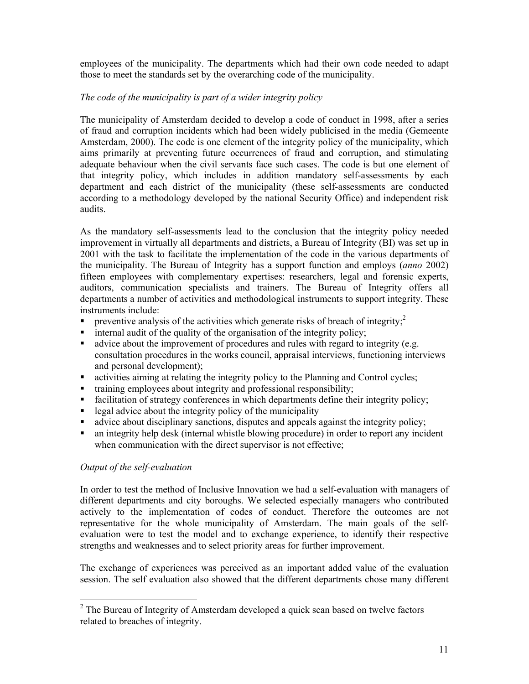employees of the municipality. The departments which had their own code needed to adapt those to meet the standards set by the overarching code of the municipality.

# *The code of the municipality is part of a wider integrity policy*

The municipality of Amsterdam decided to develop a code of conduct in 1998, after a series of fraud and corruption incidents which had been widely publicised in the media (Gemeente Amsterdam, 2000). The code is one element of the integrity policy of the municipality, which aims primarily at preventing future occurrences of fraud and corruption, and stimulating adequate behaviour when the civil servants face such cases. The code is but one element of that integrity policy, which includes in addition mandatory self-assessments by each department and each district of the municipality (these self-assessments are conducted according to a methodology developed by the national Security Office) and independent risk audits.

As the mandatory self-assessments lead to the conclusion that the integrity policy needed improvement in virtually all departments and districts, a Bureau of Integrity (BI) was set up in 2001 with the task to facilitate the implementation of the code in the various departments of the municipality. The Bureau of Integrity has a support function and employs (*anno* 2002) fifteen employees with complementary expertises: researchers, legal and forensic experts, auditors, communication specialists and trainers. The Bureau of Integrity offers all departments a number of activities and methodological instruments to support integrity. These instruments include:

- **PEDECISE 1** preventive analysis of the activities which generate risks of breach of integrity;<sup>2</sup>
- $\blacksquare$  internal audit of the quality of the organisation of the integrity policy;
- advice about the improvement of procedures and rules with regard to integrity (e.g. consultation procedures in the works council, appraisal interviews, functioning interviews and personal development);
- activities aiming at relating the integrity policy to the Planning and Control cycles;
- training employees about integrity and professional responsibility;
- facilitation of strategy conferences in which departments define their integrity policy;
- legal advice about the integrity policy of the municipality
- advice about disciplinary sanctions, disputes and appeals against the integrity policy;
- an integrity help desk (internal whistle blowing procedure) in order to report any incident when communication with the direct supervisor is not effective;

# *Output of the self-evaluation*

l

In order to test the method of Inclusive Innovation we had a self-evaluation with managers of different departments and city boroughs. We selected especially managers who contributed actively to the implementation of codes of conduct. Therefore the outcomes are not representative for the whole municipality of Amsterdam. The main goals of the selfevaluation were to test the model and to exchange experience, to identify their respective strengths and weaknesses and to select priority areas for further improvement.

The exchange of experiences was perceived as an important added value of the evaluation session. The self evaluation also showed that the different departments chose many different

 $2^2$  The Bureau of Integrity of Amsterdam developed a quick scan based on twelve factors related to breaches of integrity.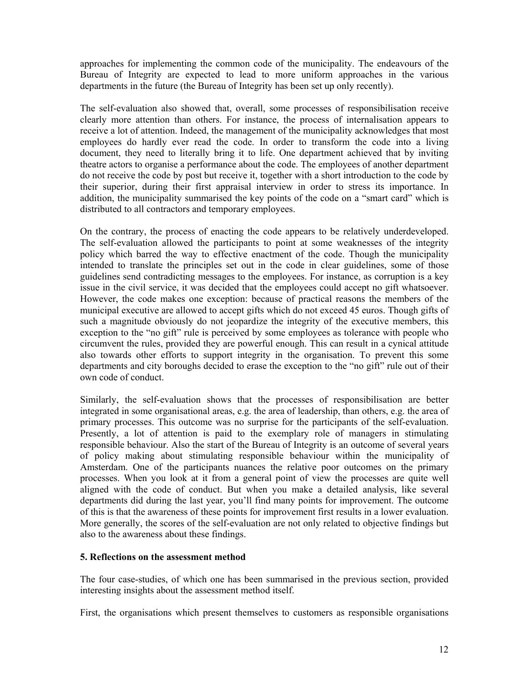approaches for implementing the common code of the municipality. The endeavours of the Bureau of Integrity are expected to lead to more uniform approaches in the various departments in the future (the Bureau of Integrity has been set up only recently).

The self-evaluation also showed that, overall, some processes of responsibilisation receive clearly more attention than others. For instance, the process of internalisation appears to receive a lot of attention. Indeed, the management of the municipality acknowledges that most employees do hardly ever read the code. In order to transform the code into a living document, they need to literally bring it to life. One department achieved that by inviting theatre actors to organise a performance about the code. The employees of another department do not receive the code by post but receive it, together with a short introduction to the code by their superior, during their first appraisal interview in order to stress its importance. In addition, the municipality summarised the key points of the code on a "smart card" which is distributed to all contractors and temporary employees.

On the contrary, the process of enacting the code appears to be relatively underdeveloped. The self-evaluation allowed the participants to point at some weaknesses of the integrity policy which barred the way to effective enactment of the code. Though the municipality intended to translate the principles set out in the code in clear guidelines, some of those guidelines send contradicting messages to the employees. For instance, as corruption is a key issue in the civil service, it was decided that the employees could accept no gift whatsoever. However, the code makes one exception: because of practical reasons the members of the municipal executive are allowed to accept gifts which do not exceed 45 euros. Though gifts of such a magnitude obviously do not jeopardize the integrity of the executive members, this exception to the "no gift" rule is perceived by some employees as tolerance with people who circumvent the rules, provided they are powerful enough. This can result in a cynical attitude also towards other efforts to support integrity in the organisation. To prevent this some departments and city boroughs decided to erase the exception to the "no gift" rule out of their own code of conduct.

Similarly, the self-evaluation shows that the processes of responsibilisation are better integrated in some organisational areas, e.g. the area of leadership, than others, e.g. the area of primary processes. This outcome was no surprise for the participants of the self-evaluation. Presently, a lot of attention is paid to the exemplary role of managers in stimulating responsible behaviour. Also the start of the Bureau of Integrity is an outcome of several years of policy making about stimulating responsible behaviour within the municipality of Amsterdam. One of the participants nuances the relative poor outcomes on the primary processes. When you look at it from a general point of view the processes are quite well aligned with the code of conduct. But when you make a detailed analysis, like several departments did during the last year, you'll find many points for improvement. The outcome of this is that the awareness of these points for improvement first results in a lower evaluation. More generally, the scores of the self-evaluation are not only related to objective findings but also to the awareness about these findings.

#### **5. Reflections on the assessment method**

The four case-studies, of which one has been summarised in the previous section, provided interesting insights about the assessment method itself.

First, the organisations which present themselves to customers as responsible organisations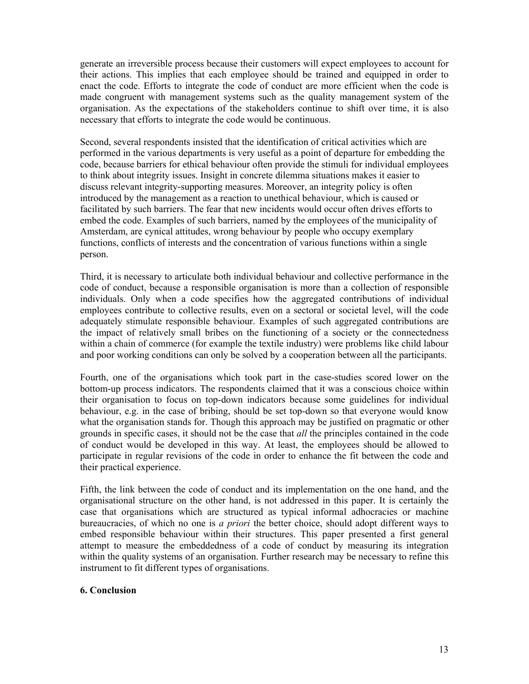generate an irreversible process because their customers will expect employees to account for their actions. This implies that each employee should be trained and equipped in order to enact the code. Efforts to integrate the code of conduct are more efficient when the code is made congruent with management systems such as the quality management system of the organisation. As the expectations of the stakeholders continue to shift over time, it is also necessary that efforts to integrate the code would be continuous.

Second, several respondents insisted that the identification of critical activities which are performed in the various departments is very useful as a point of departure for embedding the code, because barriers for ethical behaviour often provide the stimuli for individual employees to think about integrity issues. Insight in concrete dilemma situations makes it easier to discuss relevant integrity-supporting measures. Moreover, an integrity policy is often introduced by the management as a reaction to unethical behaviour, which is caused or facilitated by such barriers. The fear that new incidents would occur often drives efforts to embed the code. Examples of such barriers, named by the employees of the municipality of Amsterdam, are cynical attitudes, wrong behaviour by people who occupy exemplary functions, conflicts of interests and the concentration of various functions within a single person.

Third, it is necessary to articulate both individual behaviour and collective performance in the code of conduct, because a responsible organisation is more than a collection of responsible individuals. Only when a code specifies how the aggregated contributions of individual employees contribute to collective results, even on a sectoral or societal level, will the code adequately stimulate responsible behaviour. Examples of such aggregated contributions are the impact of relatively small bribes on the functioning of a society or the connectedness within a chain of commerce (for example the textile industry) were problems like child labour and poor working conditions can only be solved by a cooperation between all the participants.

Fourth, one of the organisations which took part in the case-studies scored lower on the bottom-up process indicators. The respondents claimed that it was a conscious choice within their organisation to focus on top-down indicators because some guidelines for individual behaviour, e.g. in the case of bribing, should be set top-down so that everyone would know what the organisation stands for. Though this approach may be justified on pragmatic or other grounds in specific cases, it should not be the case that *all* the principles contained in the code of conduct would be developed in this way. At least, the employees should be allowed to participate in regular revisions of the code in order to enhance the fit between the code and their practical experience.

Fifth, the link between the code of conduct and its implementation on the one hand, and the organisational structure on the other hand, is not addressed in this paper. It is certainly the case that organisations which are structured as typical informal adhocracies or machine bureaucracies, of which no one is *a priori* the better choice, should adopt different ways to embed responsible behaviour within their structures. This paper presented a first general attempt to measure the embeddedness of a code of conduct by measuring its integration within the quality systems of an organisation. Further research may be necessary to refine this instrument to fit different types of organisations.

# **6. Conclusion**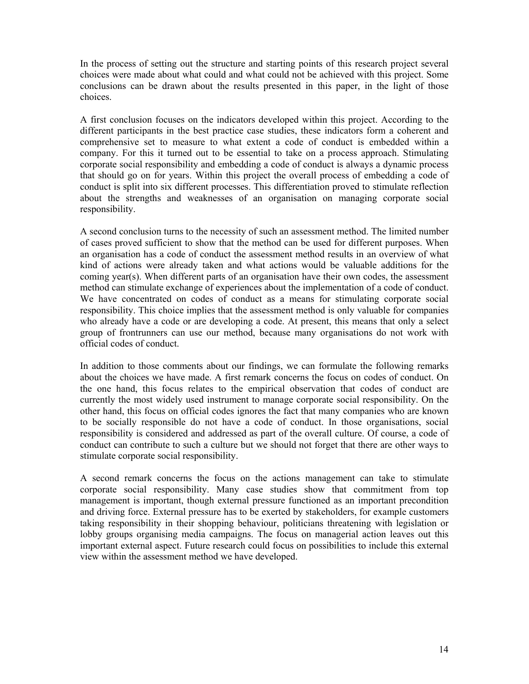In the process of setting out the structure and starting points of this research project several choices were made about what could and what could not be achieved with this project. Some conclusions can be drawn about the results presented in this paper, in the light of those choices.

A first conclusion focuses on the indicators developed within this project. According to the different participants in the best practice case studies, these indicators form a coherent and comprehensive set to measure to what extent a code of conduct is embedded within a company. For this it turned out to be essential to take on a process approach. Stimulating corporate social responsibility and embedding a code of conduct is always a dynamic process that should go on for years. Within this project the overall process of embedding a code of conduct is split into six different processes. This differentiation proved to stimulate reflection about the strengths and weaknesses of an organisation on managing corporate social responsibility.

A second conclusion turns to the necessity of such an assessment method. The limited number of cases proved sufficient to show that the method can be used for different purposes. When an organisation has a code of conduct the assessment method results in an overview of what kind of actions were already taken and what actions would be valuable additions for the coming year(s). When different parts of an organisation have their own codes, the assessment method can stimulate exchange of experiences about the implementation of a code of conduct. We have concentrated on codes of conduct as a means for stimulating corporate social responsibility. This choice implies that the assessment method is only valuable for companies who already have a code or are developing a code. At present, this means that only a select group of frontrunners can use our method, because many organisations do not work with official codes of conduct.

In addition to those comments about our findings, we can formulate the following remarks about the choices we have made. A first remark concerns the focus on codes of conduct. On the one hand, this focus relates to the empirical observation that codes of conduct are currently the most widely used instrument to manage corporate social responsibility. On the other hand, this focus on official codes ignores the fact that many companies who are known to be socially responsible do not have a code of conduct. In those organisations, social responsibility is considered and addressed as part of the overall culture. Of course, a code of conduct can contribute to such a culture but we should not forget that there are other ways to stimulate corporate social responsibility.

A second remark concerns the focus on the actions management can take to stimulate corporate social responsibility. Many case studies show that commitment from top management is important, though external pressure functioned as an important precondition and driving force. External pressure has to be exerted by stakeholders, for example customers taking responsibility in their shopping behaviour, politicians threatening with legislation or lobby groups organising media campaigns. The focus on managerial action leaves out this important external aspect. Future research could focus on possibilities to include this external view within the assessment method we have developed.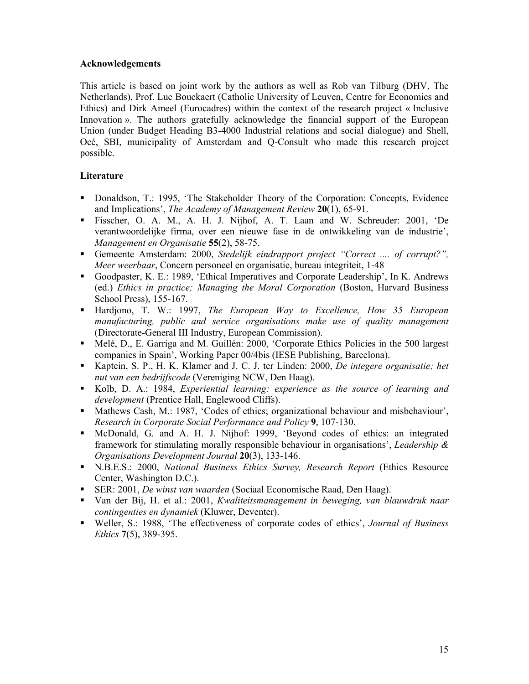### **Acknowledgements**

This article is based on joint work by the authors as well as Rob van Tilburg (DHV, The Netherlands), Prof. Luc Bouckaert (Catholic University of Leuven, Centre for Economics and Ethics) and Dirk Ameel (Eurocadres) within the context of the research project « Inclusive Innovation ». The authors gratefully acknowledge the financial support of the European Union (under Budget Heading B3-4000 Industrial relations and social dialogue) and Shell, Océ, SBI, municipality of Amsterdam and Q-Consult who made this research project possible.

# **Literature**

- Donaldson, T.: 1995, 'The Stakeholder Theory of the Corporation: Concepts, Evidence and Implications', *The Academy of Management Review* **20**(1), 65-91.
- Fisscher, O. A. M., A. H. J. Nijhof, A. T. Laan and W. Schreuder: 2001, 'De verantwoordelijke firma, over een nieuwe fase in de ontwikkeling van de industrie', *Management en Organisatie* **55**(2), 58-75.
- Gemeente Amsterdam: 2000, *Stedelijk eindrapport project "Correct .... of corrupt?", Meer weerbaar*, Concern personeel en organisatie, bureau integriteit, 1-48
- Goodpaster, K. E.: 1989, 'Ethical Imperatives and Corporate Leadership', In K. Andrews (ed.) *Ethics in practice; Managing the Moral Corporation* (Boston, Harvard Business School Press), 155-167.
- Hardjono, T. W.: 1997, *The European Way to Excellence, How 35 European manufacturing, public and service organisations make use of quality management* (Directorate-General III Industry, European Commission).
- Melé, D., E. Garriga and M. Guillén: 2000, 'Corporate Ethics Policies in the 500 largest companies in Spain', Working Paper 00/4bis (IESE Publishing, Barcelona).
- Kaptein, S. P., H. K. Klamer and J. C. J. ter Linden: 2000, *De integere organisatie; het nut van een bedrijfscode* (Vereniging NCW, Den Haag).
- Kolb, D. A.: 1984, *Experiential learning: experience as the source of learning and development* (Prentice Hall, Englewood Cliffs).
- Mathews Cash, M.: 1987, 'Codes of ethics; organizational behaviour and misbehaviour', *Research in Corporate Social Performance and Policy* **9**, 107-130.
- McDonald, G. and A. H. J. Nijhof: 1999, 'Beyond codes of ethics: an integrated framework for stimulating morally responsible behaviour in organisations', *Leadership & Organisations Development Journal* **20**(3), 133-146.
- N.B.E.S.: 2000, *National Business Ethics Survey, Research Report* (Ethics Resource Center, Washington D.C.).
- SER: 2001, *De winst van waarden* (Sociaal Economische Raad, Den Haag).
- Van der Bij, H. et al.: 2001, *Kwaliteitsmanagement in beweging, van blauwdruk naar contingenties en dynamiek* (Kluwer, Deventer).
- Weller, S.: 1988, 'The effectiveness of corporate codes of ethics', *Journal of Business Ethics* **7**(5), 389-395.